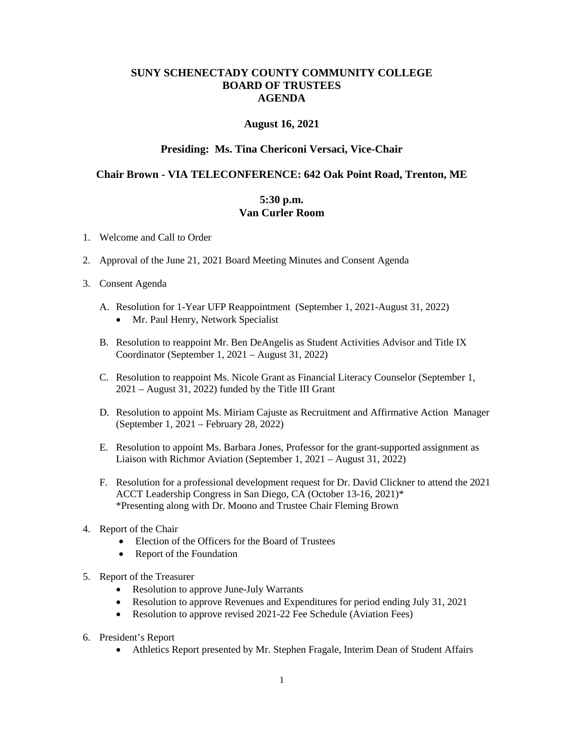## **SUNY SCHENECTADY COUNTY COMMUNITY COLLEGE BOARD OF TRUSTEES AGENDA**

#### **August 16, 2021**

### **Presiding: Ms. Tina Chericoni Versaci, Vice-Chair**

# **Chair Brown - VIA TELECONFERENCE: 642 Oak Point Road, Trenton, ME 5:30 p.m.**

# **Van Curler Room**

- 1. Welcome and Call to Order
- 2. Approval of the June 21, 2021 Board Meeting Minutes and Consent Agenda
- 3. Consent Agenda
	- A. Resolution for 1-Year UFP Reappointment (September 1, 2021-August 31, 2022)
		- Mr. Paul Henry, Network Specialist
	- Coordinator (September 1, 2021 August 31, 2022) B. Resolution to reappoint Mr. Ben DeAngelis as Student Activities Advisor and Title IX
	- C. Resolution to reappoint Ms. Nicole Grant as Financial Literacy Counselor (September 1, 2021 – August 31, 2022) funded by the Title III Grant
	- D. Resolution to appoint Ms. Miriam Cajuste as Recruitment and Affirmative Action Manager (September 1, 2021 – February 28, 2022)
	- E. Resolution to appoint Ms. Barbara Jones, Professor for the grant-supported assignment as Liaison with Richmor Aviation (September 1, 2021 – August 31, 2022)
	- F. Resolution for a professional development request for Dr. David Clickner to attend the 2021 ACCT Leadership Congress in San Diego, CA (October 13-16, 2021)\* \*Presenting along with Dr. Moono and Trustee Chair Fleming Brown
- 4. Report of the Chair
	- Election of the Officers for the Board of Trustees
	- Report of the Foundation
- 5. Report of the Treasurer
	- Resolution to approve June-July Warrants
	- Resolution to approve Revenues and Expenditures for period ending July 31, 2021
	- Resolution to approve revised 2021-22 Fee Schedule (Aviation Fees)
- 6. President's Report
	- Athletics Report presented by Mr. Stephen Fragale, Interim Dean of Student Affairs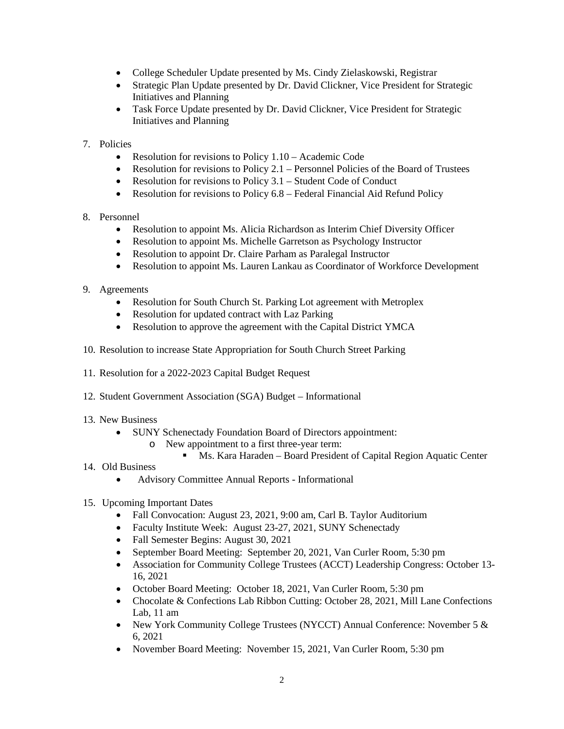- College Scheduler Update presented by Ms. Cindy Zielaskowski, Registrar
- Strategic Plan Update presented by Dr. David Clickner, Vice President for Strategic Initiatives and Planning
- Task Force Update presented by Dr. David Clickner, Vice President for Strategic Initiatives and Planning

### 7. Policies

- Resolution for revisions to Policy 1.10 Academic Code
- Resolution for revisions to Policy 2.1 Personnel Policies of the Board of Trustees
- Resolution for revisions to Policy 3.1 Student Code of Conduct
- Resolution for revisions to Policy 6.8 Federal Financial Aid Refund Policy

### 8. Personnel

- Resolution to appoint Ms. Alicia Richardson as Interim Chief Diversity Officer
- Resolution to appoint Ms. Michelle Garretson as Psychology Instructor
- Resolution to appoint Dr. Claire Parham as Paralegal Instructor
- Resolution to appoint Ms. Lauren Lankau as Coordinator of Workforce Development
- 9. Agreements
	- Resolution for South Church St. Parking Lot agreement with Metroplex
	- Resolution for updated contract with Laz Parking
	- Resolution to approve the agreement with the Capital District YMCA
- 10. Resolution to increase State Appropriation for South Church Street Parking
- 11. Resolution for a 2022-2023 Capital Budget Request
- 12. Student Government Association (SGA) Budget Informational
- 13. New Business
	- SUNY Schenectady Foundation Board of Directors appointment:
		- o New appointment to a first three-year term:
			- **Ms. Kara Haraden Board President of Capital Region Aquatic Center**

## 14. Old Business

- Advisory Committee Annual Reports Informational
- 15. Upcoming Important Dates
	- Fall Convocation: August 23, 2021, 9:00 am, Carl B. Taylor Auditorium
	- Faculty Institute Week: August 23-27, 2021, SUNY Schenectady
	- Fall Semester Begins: August 30, 2021
	- September Board Meeting: September 20, 2021, Van Curler Room, 5:30 pm
	- Association for Community College Trustees (ACCT) Leadership Congress: October 13-16, 2021
	- October Board Meeting: October 18, 2021, Van Curler Room, 5:30 pm
	- Chocolate & Confections Lab Ribbon Cutting: October 28, 2021, Mill Lane Confections Lab, 11 am
	- New York Community College Trustees (NYCCT) Annual Conference: November 5 & 6, 2021
	- November Board Meeting: November 15, 2021, Van Curler Room, 5:30 pm